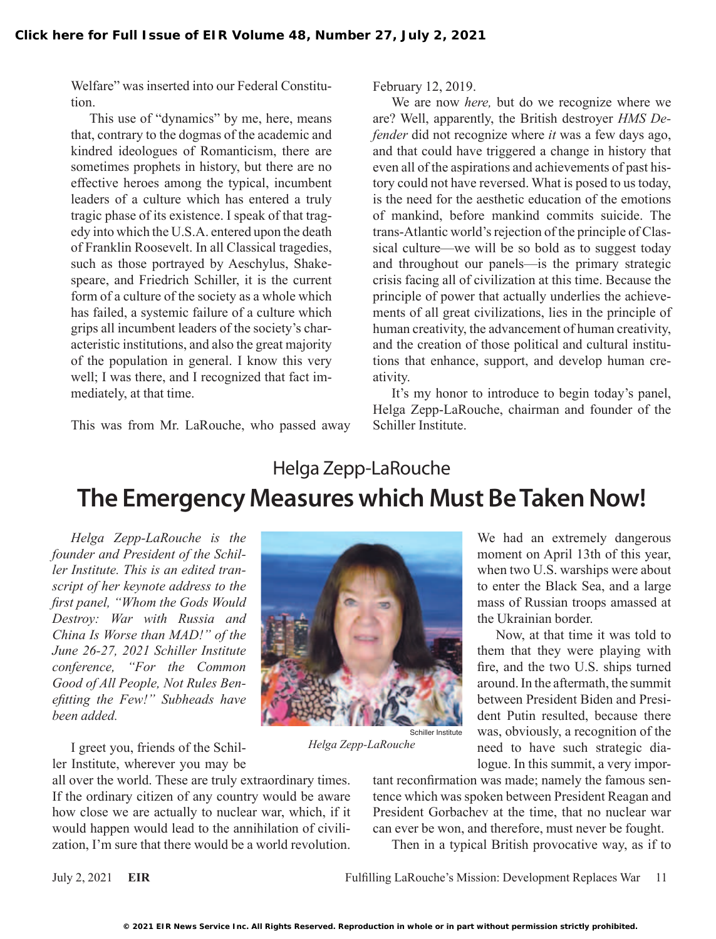Welfare" was inserted into our Federal Constitution.

This use of "dynamics" by me, here, means that, contrary to the dogmas of the academic and kindred ideologues of Romanticism, there are sometimes prophets in history, but there are no effective heroes among the typical, incumbent leaders of a culture which has entered a truly tragic phase of its existence. I speak of that tragedy into which the U.S.A. entered upon the death of Franklin Roosevelt. In all Classical tragedies, such as those portrayed by Aeschylus, Shakespeare, and Friedrich Schiller, it is the current form of a culture of the society as a whole which has failed, a systemic failure of a culture which grips all incumbent leaders of the society's characteristic institutions, and also the great majority of the population in general. I know this very well; I was there, and I recognized that fact immediately, at that time.

This was from Mr. LaRouche, who passed away

February 12, 2019.

We are now *here,* but do we recognize where we are? Well, apparently, the British destroyer *HMS Defender* did not recognize where *it* was a few days ago, and that could have triggered a change in history that even all of the aspirations and achievements of past history could not have reversed. What is posed to us today, is the need for the aesthetic education of the emotions of mankind, before mankind commits suicide. The trans-Atlantic world's rejection of the principle of Classical culture—we will be so bold as to suggest today and throughout our panels—is the primary strategic crisis facing all of civilization at this time. Because the principle of power that actually underlies the achievements of all great civilizations, lies in the principle of human creativity, the advancement of human creativity, and the creation of those political and cultural institutions that enhance, support, and develop human creativity.

It's my honor to introduce to begin today's panel, Helga Zepp-LaRouche, chairman and founder of the Schiller Institute.

# Helga Zepp-LaRouche **The Emergency Measures which Must Be Taken Now!**

*Helga Zepp-LaRouche is the founder and President of the Schiller Institute. This is an edited transcript of her keynote address to the first panel, "Whom the Gods Would Destroy: War with Russia and China Is Worse than MAD!" of the June 26-27, 2021 Schiller Institute conference, "For the Common Good of All People, Not Rules Benefitting the Few!" Subheads have been added.*

I greet you, friends of the Schiller Institute, wherever you may be

all over the world. These are truly extraordinary times. If the ordinary citizen of any country would be aware how close we are actually to nuclear war, which, if it would happen would lead to the annihilation of civilization, I'm sure that there would be a world revolution. We had an extremely dangerous moment on April 13th of this year, when two U.S. warships were about to enter the Black Sea, and a large mass of Russian troops amassed at the Ukrainian border.

Now, at that time it was told to them that they were playing with fire, and the two U.S. ships turned around. In the aftermath, the summit between President Biden and President Putin resulted, because there was, obviously, a recognition of the need to have such strategic dialogue. In this summit, a very impor-

*Helga Zepp-LaRouche*

tant reconfirmation was made; namely the famous sentence which was spoken between President Reagan and President Gorbachev at the time, that no nuclear war can ever be won, and therefore, must never be fought.

Then in a typical British provocative way, as if to

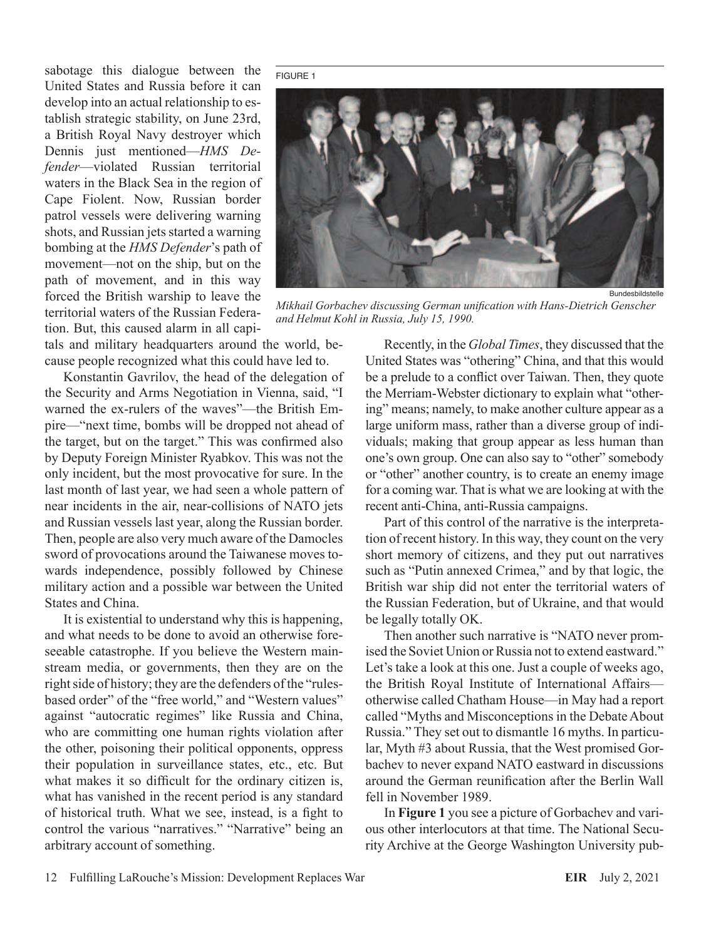sabotage this dialogue between the United States and Russia before it can develop into an actual relationship to establish strategic stability, on June 23rd, a British Royal Navy destroyer which Dennis just mentioned—*HMS Defender*—violated Russian territorial waters in the Black Sea in the region of Cape Fiolent. Now, Russian border patrol vessels were delivering warning shots, and Russian jets started a warning bombing at the *HMS Defender*'s path of movement—not on the ship, but on the path of movement, and in this way forced the British warship to leave the territorial waters of the Russian Federation. But, this caused alarm in all capi-

tals and military headquarters around the world, because people recognized what this could have led to.

Konstantin Gavrilov, the head of the delegation of the Security and Arms Negotiation in Vienna, said, "I warned the ex-rulers of the waves"—the British Empire—"next time, bombs will be dropped not ahead of the target, but on the target." This was confirmed also by Deputy Foreign Minister Ryabkov. This was not the only incident, but the most provocative for sure. In the last month of last year, we had seen a whole pattern of near incidents in the air, near-collisions of NATO jets and Russian vessels last year, along the Russian border. Then, people are also very much aware of the Damocles sword of provocations around the Taiwanese moves towards independence, possibly followed by Chinese military action and a possible war between the United States and China.

It is existential to understand why this is happening, and what needs to be done to avoid an otherwise foreseeable catastrophe. If you believe the Western mainstream media, or governments, then they are on the right side of history; they are the defenders of the "rulesbased order" of the "free world," and "Western values" against "autocratic regimes" like Russia and China, who are committing one human rights violation after the other, poisoning their political opponents, oppress their population in surveillance states, etc., etc. But what makes it so difficult for the ordinary citizen is, what has vanished in the recent period is any standard of historical truth. What we see, instead, is a fight to control the various "narratives." "Narrative" being an arbitrary account of something.

FIGURE 1



*Mikhail Gorbachev discussing German unification with Hans-Dietrich Genscher and Helmut Kohl in Russia, July 15, 1990.*

Recently, in the *Global Times*, they discussed that the United States was "othering" China, and that this would be a prelude to a conflict over Taiwan. Then, they quote the Merriam-Webster dictionary to explain what "othering" means; namely, to make another culture appear as a large uniform mass, rather than a diverse group of individuals; making that group appear as less human than one's own group. One can also say to "other" somebody or "other" another country, is to create an enemy image for a coming war. That is what we are looking at with the recent anti-China, anti-Russia campaigns.

Part of this control of the narrative is the interpretation of recent history. In this way, they count on the very short memory of citizens, and they put out narratives such as "Putin annexed Crimea," and by that logic, the British war ship did not enter the territorial waters of the Russian Federation, but of Ukraine, and that would be legally totally OK.

Then another such narrative is "NATO never promised the Soviet Union or Russia not to extend eastward." Let's take a look at this one. Just a couple of weeks ago, the British Royal Institute of International Affairs otherwise called Chatham House—in May had a report called "Myths and Misconceptions in the Debate About Russia." They set out to dismantle 16 myths. In particular, Myth #3 about Russia, that the West promised Gorbachev to never expand NATO eastward in discussions around the German reunification after the Berlin Wall fell in November 1989.

In **Figure 1** you see a picture of Gorbachev and various other interlocutors at that time. The National Security Archive at the George Washington University pub-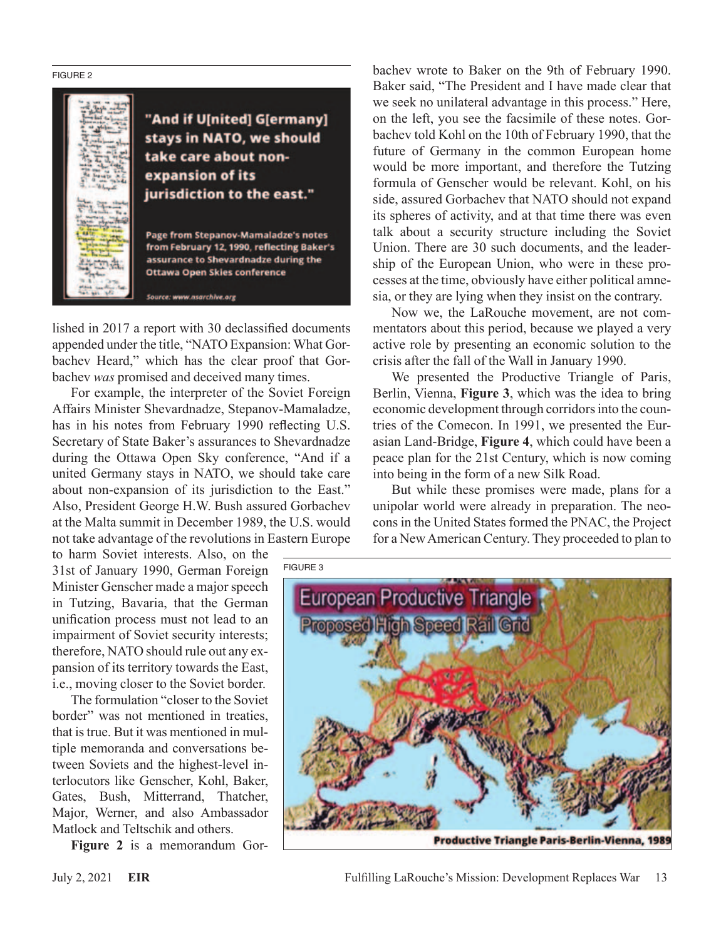#### FIGURE 2



lished in 2017 a report with 30 declassified documents appended under the title, "NATO Expansion: What Gorbachev Heard," which has the clear proof that Gorbachev *was* promised and deceived many times.

For example, the interpreter of the Soviet Foreign Affairs Minister Shevardnadze, Stepanov-Mamaladze, has in his notes from February 1990 reflecting U.S. Secretary of State Baker's assurances to Shevardnadze during the Ottawa Open Sky conference, "And if a united Germany stays in NATO, we should take care about non-expansion of its jurisdiction to the East." Also, President George H.W. Bush assured Gorbachev at the Malta summit in December 1989, the U.S. would not take advantage of the revolutions in Eastern Europe

to harm Soviet interests. Also, on the 31st of January 1990, German Foreign Minister Genscher made a major speech in Tutzing, Bavaria, that the German unification process must not lead to an impairment of Soviet security interests; therefore, NATO should rule out any expansion of its territory towards the East, i.e., moving closer to the Soviet border.

The formulation "closer to the Soviet border" was not mentioned in treaties, that is true. But it was mentioned in multiple memoranda and conversations between Soviets and the highest-level interlocutors like Genscher, Kohl, Baker, Gates, Bush, Mitterrand, Thatcher, Major, Werner, and also Ambassador Matlock and Teltschik and others.

**Figure 2** is a memorandum Gor-

bachev wrote to Baker on the 9th of February 1990. Baker said, "The President and I have made clear that we seek no unilateral advantage in this process." Here, on the left, you see the facsimile of these notes. Gorbachev told Kohl on the 10th of February 1990, that the future of Germany in the common European home would be more important, and therefore the Tutzing formula of Genscher would be relevant. Kohl, on his side, assured Gorbachev that NATO should not expand its spheres of activity, and at that time there was even talk about a security structure including the Soviet Union. There are 30 such documents, and the leadership of the European Union, who were in these processes at the time, obviously have either political amnesia, or they are lying when they insist on the contrary.

Now we, the LaRouche movement, are not commentators about this period, because we played a very active role by presenting an economic solution to the crisis after the fall of the Wall in January 1990.

We presented the Productive Triangle of Paris, Berlin, Vienna, **Figure 3**, which was the idea to bring economic development through corridors into the countries of the Comecon. In 1991, we presented the Eurasian Land-Bridge, **Figure 4**, which could have been a peace plan for the 21st Century, which is now coming into being in the form of a new Silk Road.

But while these promises were made, plans for a unipolar world were already in preparation. The neocons in the United States formed the PNAC, the Project for a New American Century. They proceeded to plan to





**Productive Triangle Paris-Berlin-Vienna, 1989**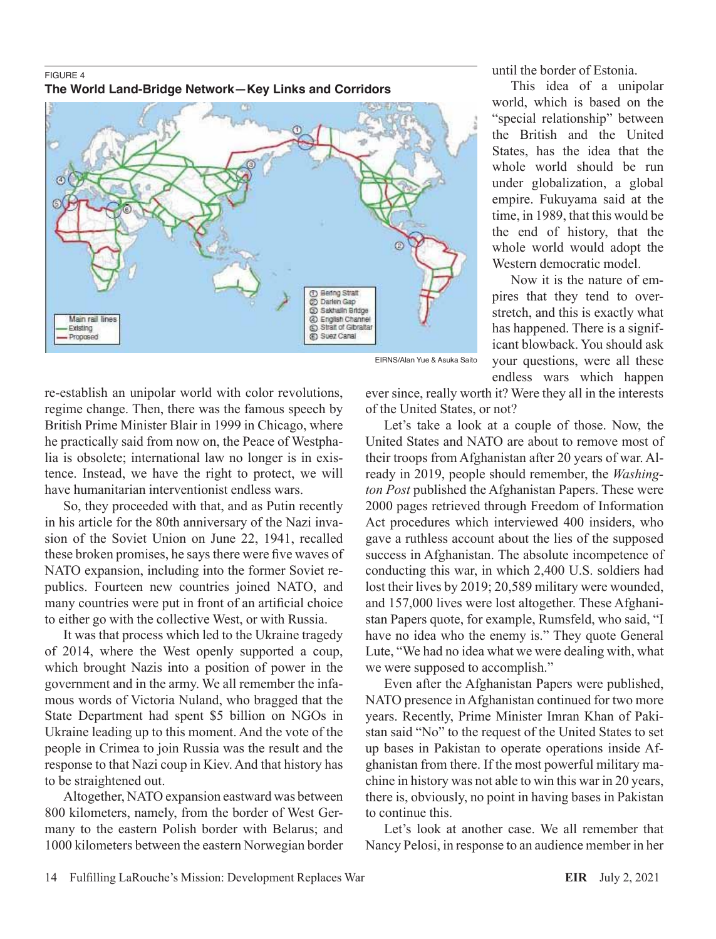### FIGURE 4 **The World Land-Bridge Network—Key Links and Corridors**



until the border of Estonia.

This idea of a unipolar world, which is based on the "special relationship" between the British and the United States, has the idea that the whole world should be run under globalization, a global empire. Fukuyama said at the time, in 1989, that this would be the end of history, that the whole world would adopt the Western democratic model.

Now it is the nature of empires that they tend to overstretch, and this is exactly what has happened. There is a significant blowback. You should ask your questions, were all these endless wars which happen

EIRNS/Alan Yue & Asuka Saito

re-establish an unipolar world with color revolutions, regime change. Then, there was the famous speech by British Prime Minister Blair in 1999 in Chicago, where he practically said from now on, the Peace of Westphalia is obsolete; international law no longer is in existence. Instead, we have the right to protect, we will have humanitarian interventionist endless wars.

So, they proceeded with that, and as Putin recently in his article for the 80th anniversary of the Nazi invasion of the Soviet Union on June 22, 1941, recalled these broken promises, he says there were five waves of NATO expansion, including into the former Soviet republics. Fourteen new countries joined NATO, and many countries were put in front of an artificial choice to either go with the collective West, or with Russia.

It was that process which led to the Ukraine tragedy of 2014, where the West openly supported a coup, which brought Nazis into a position of power in the government and in the army. We all remember the infamous words of Victoria Nuland, who bragged that the State Department had spent \$5 billion on NGOs in Ukraine leading up to this moment. And the vote of the people in Crimea to join Russia was the result and the response to that Nazi coup in Kiev. And that history has to be straightened out.

Altogether, NATO expansion eastward was between 800 kilometers, namely, from the border of West Germany to the eastern Polish border with Belarus; and 1000 kilometers between the eastern Norwegian border ever since, really worth it? Were they all in the interests of the United States, or not?

Let's take a look at a couple of those. Now, the United States and NATO are about to remove most of their troops from Afghanistan after 20 years of war. Already in 2019, people should remember, the *Washington Post* published the Afghanistan Papers. These were 2000 pages retrieved through Freedom of Information Act procedures which interviewed 400 insiders, who gave a ruthless account about the lies of the supposed success in Afghanistan. The absolute incompetence of conducting this war, in which 2,400 U.S. soldiers had lost their lives by 2019; 20,589 military were wounded, and 157,000 lives were lost altogether. These Afghanistan Papers quote, for example, Rumsfeld, who said, "I have no idea who the enemy is." They quote General Lute, "We had no idea what we were dealing with, what we were supposed to accomplish."

Even after the Afghanistan Papers were published, NATO presence in Afghanistan continued for two more years. Recently, Prime Minister Imran Khan of Pakistan said "No" to the request of the United States to set up bases in Pakistan to operate operations inside Afghanistan from there. If the most powerful military machine in history was not able to win this war in 20 years, there is, obviously, no point in having bases in Pakistan to continue this.

Let's look at another case. We all remember that Nancy Pelosi, in response to an audience member in her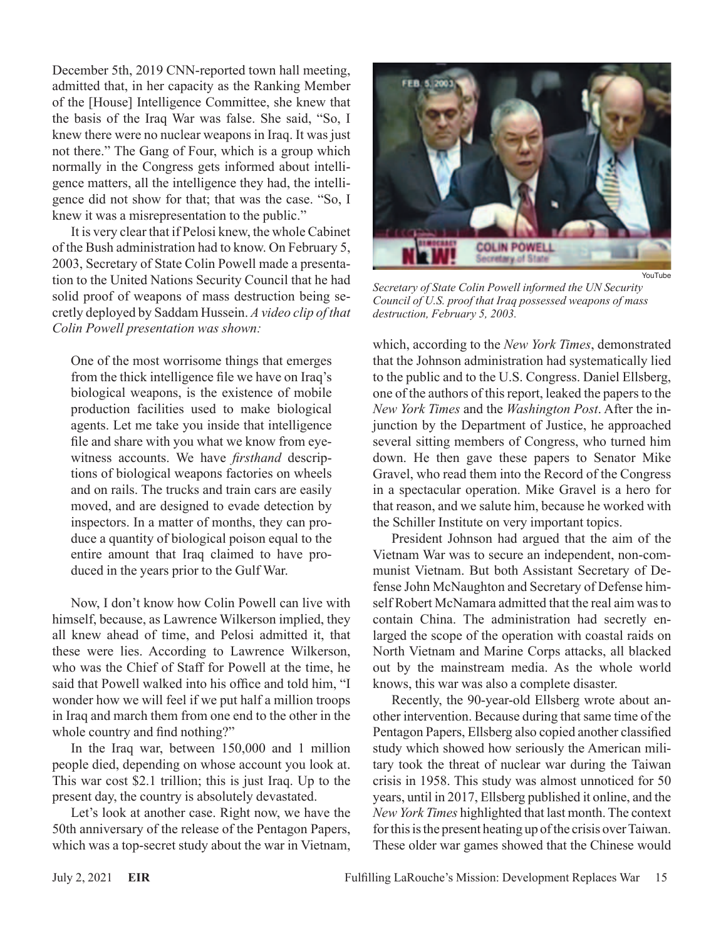December 5th, 2019 CNN-reported town hall meeting, admitted that, in her capacity as the Ranking Member of the [House] Intelligence Committee, she knew that the basis of the Iraq War was false. She said, "So, I knew there were no nuclear weapons in Iraq. It was just not there." The Gang of Four, which is a group which normally in the Congress gets informed about intelligence matters, all the intelligence they had, the intelligence did not show for that; that was the case. "So, I knew it was a misrepresentation to the public."

It is very clear that if Pelosi knew, the whole Cabinet of the Bush administration had to know. On February 5, 2003, Secretary of State Colin Powell made a presentation to the United Nations Security Council that he had solid proof of weapons of mass destruction being secretly deployed by Saddam Hussein. *A video clip of that Colin Powell presentation was shown:*

One of the most worrisome things that emerges from the thick intelligence file we have on Iraq's biological weapons, is the existence of mobile production facilities used to make biological agents. Let me take you inside that intelligence file and share with you what we know from eyewitness accounts. We have *firsthand* descriptions of biological weapons factories on wheels and on rails. The trucks and train cars are easily moved, and are designed to evade detection by inspectors. In a matter of months, they can produce a quantity of biological poison equal to the entire amount that Iraq claimed to have produced in the years prior to the Gulf War.

Now, I don't know how Colin Powell can live with himself, because, as Lawrence Wilkerson implied, they all knew ahead of time, and Pelosi admitted it, that these were lies. According to Lawrence Wilkerson, who was the Chief of Staff for Powell at the time, he said that Powell walked into his office and told him, "I wonder how we will feel if we put half a million troops in Iraq and march them from one end to the other in the whole country and find nothing?"

In the Iraq war, between 150,000 and 1 million people died, depending on whose account you look at. This war cost \$2.1 trillion; this is just Iraq. Up to the present day, the country is absolutely devastated.

Let's look at another case. Right now, we have the 50th anniversary of the release of the Pentagon Papers, which was a top-secret study about the war in Vietnam,



*Secretary of State Colin Powell informed the UN Security Council of U.S. proof that Iraq possessed weapons of mass destruction, February 5, 2003.*

which, according to the *New York Times*, demonstrated that the Johnson administration had systematically lied to the public and to the U.S. Congress. Daniel Ellsberg, one of the authors of this report, leaked the papers to the *New York Times* and the *Washington Post*. After the injunction by the Department of Justice, he approached several sitting members of Congress, who turned him down. He then gave these papers to Senator Mike Gravel, who read them into the Record of the Congress in a spectacular operation. Mike Gravel is a hero for that reason, and we salute him, because he worked with the Schiller Institute on very important topics.

President Johnson had argued that the aim of the Vietnam War was to secure an independent, non-communist Vietnam. But both Assistant Secretary of Defense John McNaughton and Secretary of Defense himself Robert McNamara admitted that the real aim was to contain China. The administration had secretly enlarged the scope of the operation with coastal raids on North Vietnam and Marine Corps attacks, all blacked out by the mainstream media. As the whole world knows, this war was also a complete disaster.

Recently, the 90-year-old Ellsberg wrote about another intervention. Because during that same time of the Pentagon Papers, Ellsberg also copied another classified study which showed how seriously the American military took the threat of nuclear war during the Taiwan crisis in 1958. This study was almost unnoticed for 50 years, until in 2017, Ellsberg published it online, and the *New York Times* highlighted that last month. The context for this is the present heating up of the crisis over Taiwan. These older war games showed that the Chinese would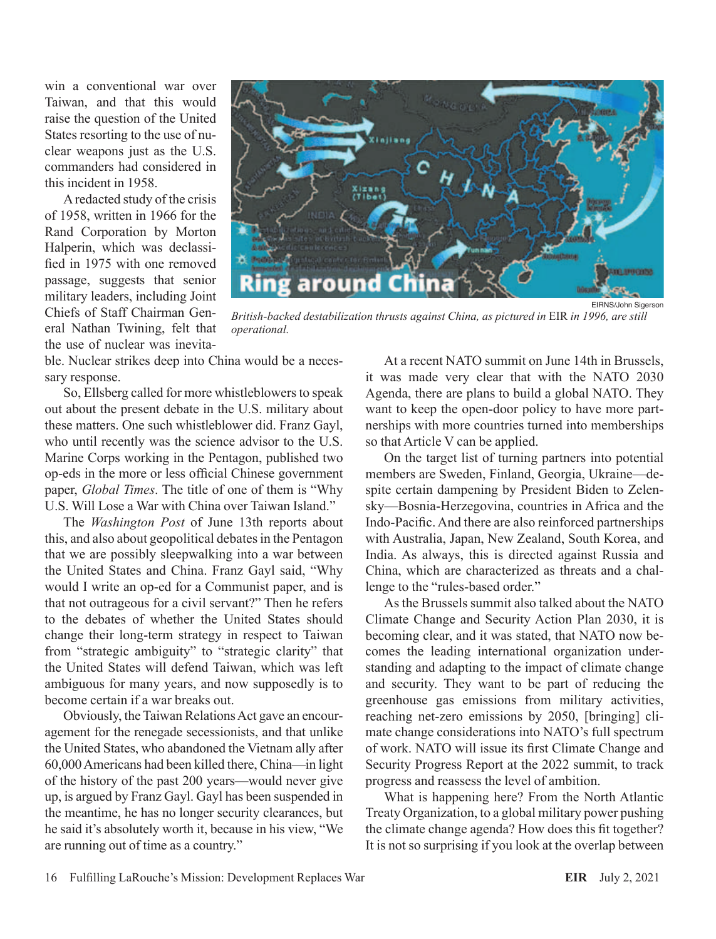win a conventional war over Taiwan, and that this would raise the question of the United States resorting to the use of nuclear weapons just as the U.S. commanders had considered in this incident in 1958.

A redacted study of the crisis of 1958, written in 1966 for the Rand Corporation by Morton Halperin, which was declassified in 1975 with one removed passage, suggests that senior military leaders, including Joint Chiefs of Staff Chairman General Nathan Twining, felt that the use of nuclear was inevita-



*British-backed destabilization thrusts against China, as pictured in* EIR *in 1996, are still operational.*

ble. Nuclear strikes deep into China would be a necessary response.

So, Ellsberg called for more whistleblowers to speak out about the present debate in the U.S. military about these matters. One such whistleblower did. Franz Gayl, who until recently was the science advisor to the U.S. Marine Corps working in the Pentagon, published two op-eds in the more or less official Chinese government paper, *Global Times*. The title of one of them is "Why U.S. Will Lose a War with China over Taiwan Island."

The *Washington Post* of June 13th reports about this, and also about geopolitical debates in the Pentagon that we are possibly sleepwalking into a war between the United States and China. Franz Gayl said, "Why would I write an op-ed for a Communist paper, and is that not outrageous for a civil servant?" Then he refers to the debates of whether the United States should change their long-term strategy in respect to Taiwan from "strategic ambiguity" to "strategic clarity" that the United States will defend Taiwan, which was left ambiguous for many years, and now supposedly is to become certain if a war breaks out.

Obviously, the Taiwan Relations Act gave an encouragement for the renegade secessionists, and that unlike the United States, who abandoned the Vietnam ally after 60,000 Americans had been killed there, China—in light of the history of the past 200 years—would never give up, is argued by Franz Gayl. Gayl has been suspended in the meantime, he has no longer security clearances, but he said it's absolutely worth it, because in his view, "We are running out of time as a country."

At a recent NATO summit on June 14th in Brussels, it was made very clear that with the NATO 2030 Agenda, there are plans to build a global NATO. They want to keep the open-door policy to have more partnerships with more countries turned into memberships so that Article V can be applied.

On the target list of turning partners into potential members are Sweden, Finland, Georgia, Ukraine—despite certain dampening by President Biden to Zelensky—Bosnia-Herzegovina, countries in Africa and the Indo-Pacific. And there are also reinforced partnerships with Australia, Japan, New Zealand, South Korea, and India. As always, this is directed against Russia and China, which are characterized as threats and a challenge to the "rules-based order."

As the Brussels summit also talked about the NATO Climate Change and Security Action Plan 2030, it is becoming clear, and it was stated, that NATO now becomes the leading international organization understanding and adapting to the impact of climate change and security. They want to be part of reducing the greenhouse gas emissions from military activities, reaching net-zero emissions by 2050, [bringing] climate change considerations into NATO's full spectrum of work. NATO will issue its first Climate Change and Security Progress Report at the 2022 summit, to track progress and reassess the level of ambition.

What is happening here? From the North Atlantic Treaty Organization, to a global military power pushing the climate change agenda? How does this fit together? It is not so surprising if you look at the overlap between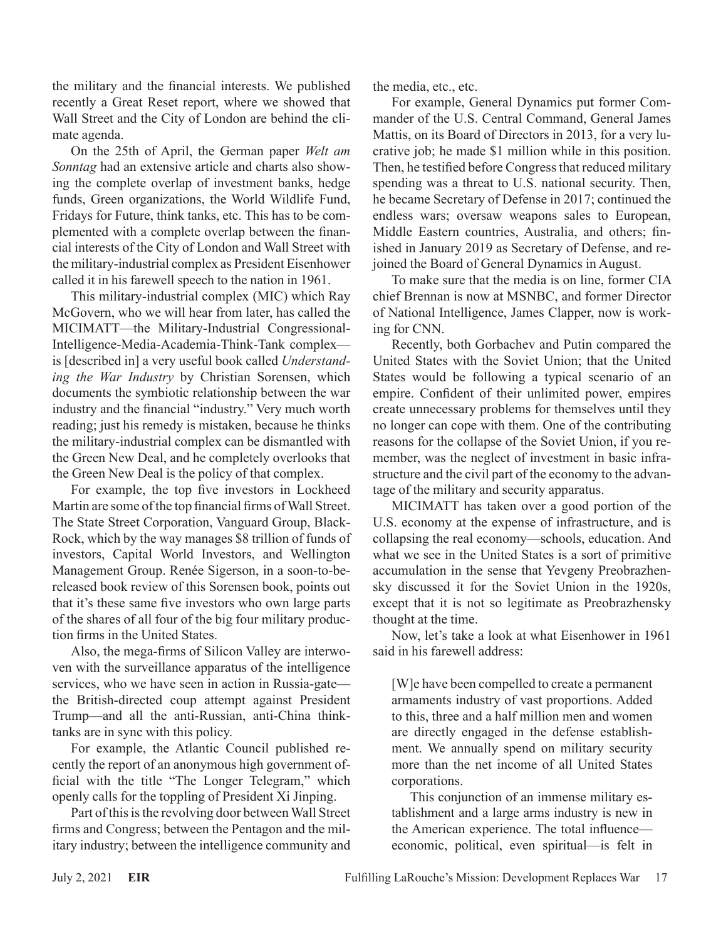the military and the financial interests. We published recently a Great Reset report, where we showed that Wall Street and the City of London are behind the climate agenda.

On the 25th of April, the German paper *Welt am Sonntag* had an extensive article and charts also showing the complete overlap of investment banks, hedge funds, Green organizations, the World Wildlife Fund, Fridays for Future, think tanks, etc. This has to be complemented with a complete overlap between the financial interests of the City of London and Wall Street with the military-industrial complex as President Eisenhower called it in his farewell speech to the nation in 1961.

This military-industrial complex (MIC) which Ray McGovern, who we will hear from later, has called the MICIMATT—the Military-Industrial Congressional-Intelligence-Media-Academia-Think-Tank complex is [described in] a very useful book called *Understanding the War Industry* by Christian Sorensen, which documents the symbiotic relationship between the war industry and the financial "industry." Very much worth reading; just his remedy is mistaken, because he thinks the military-industrial complex can be dismantled with the Green New Deal, and he completely overlooks that the Green New Deal is the policy of that complex.

For example, the top five investors in Lockheed Martin are some of the top financial firms of Wall Street. The State Street Corporation, Vanguard Group, Black-Rock, which by the way manages \$8 trillion of funds of investors, Capital World Investors, and Wellington Management Group. Renée Sigerson, in a soon-to-bereleased book review of this Sorensen book, points out that it's these same five investors who own large parts of the shares of all four of the big four military production firms in the United States.

Also, the mega-firms of Silicon Valley are interwoven with the surveillance apparatus of the intelligence services, who we have seen in action in Russia-gate the British-directed coup attempt against President Trump—and all the anti-Russian, anti-China thinktanks are in sync with this policy.

For example, the Atlantic Council published recently the report of an anonymous high government official with the title "The Longer Telegram," which openly calls for the toppling of President Xi Jinping.

Part of this is the revolving door between Wall Street firms and Congress; between the Pentagon and the military industry; between the intelligence community and the media, etc., etc.

For example, General Dynamics put former Commander of the U.S. Central Command, General James Mattis, on its Board of Directors in 2013, for a very lucrative job; he made \$1 million while in this position. Then, he testified before Congress that reduced military spending was a threat to U.S. national security. Then, he became Secretary of Defense in 2017; continued the endless wars; oversaw weapons sales to European, Middle Eastern countries, Australia, and others; finished in January 2019 as Secretary of Defense, and rejoined the Board of General Dynamics in August.

To make sure that the media is on line, former CIA chief Brennan is now at MSNBC, and former Director of National Intelligence, James Clapper, now is working for CNN.

Recently, both Gorbachev and Putin compared the United States with the Soviet Union; that the United States would be following a typical scenario of an empire. Confident of their unlimited power, empires create unnecessary problems for themselves until they no longer can cope with them. One of the contributing reasons for the collapse of the Soviet Union, if you remember, was the neglect of investment in basic infrastructure and the civil part of the economy to the advantage of the military and security apparatus.

MICIMATT has taken over a good portion of the U.S. economy at the expense of infrastructure, and is collapsing the real economy—schools, education. And what we see in the United States is a sort of primitive accumulation in the sense that Yevgeny Preobrazhensky discussed it for the Soviet Union in the 1920s, except that it is not so legitimate as Preobrazhensky thought at the time.

Now, let's take a look at what Eisenhower in 1961 said in his farewell address:

[W]e have been compelled to create a permanent armaments industry of vast proportions. Added to this, three and a half million men and women are directly engaged in the defense establishment. We annually spend on military security more than the net income of all United States corporations.

This conjunction of an immense military establishment and a large arms industry is new in the American experience. The total influence economic, political, even spiritual—is felt in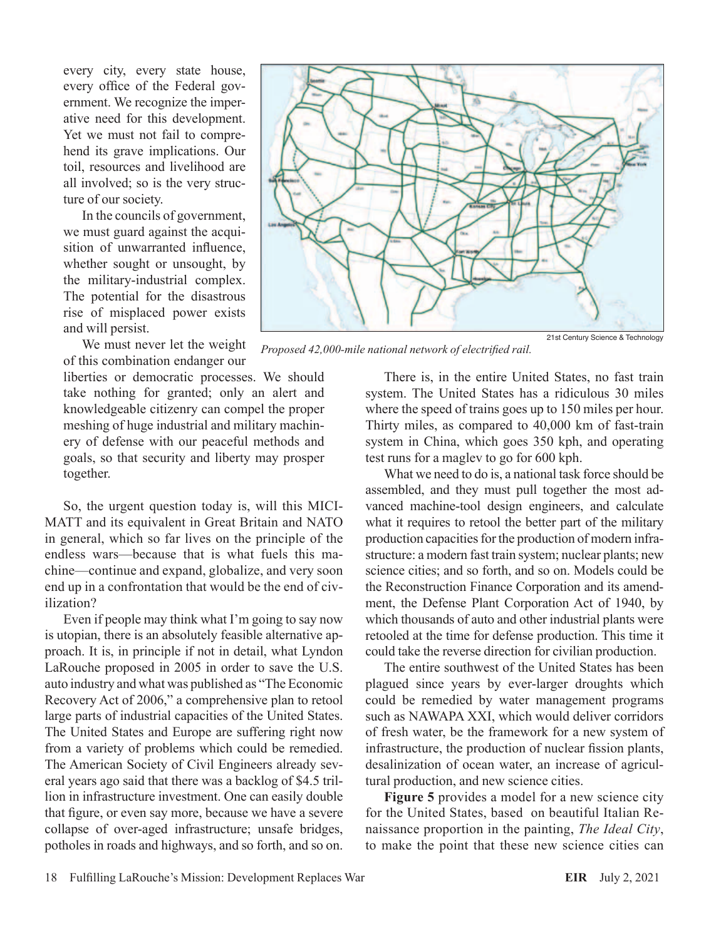every city, every state house, every office of the Federal government. We recognize the imperative need for this development. Yet we must not fail to comprehend its grave implications. Our toil, resources and livelihood are all involved; so is the very structure of our society.

In the councils of government, we must guard against the acquisition of unwarranted influence, whether sought or unsought, by the military-industrial complex. The potential for the disastrous rise of misplaced power exists and will persist.

We must never let the weight of this combination endanger our

liberties or democratic processes. We should take nothing for granted; only an alert and knowledgeable citizenry can compel the proper meshing of huge industrial and military machinery of defense with our peaceful methods and goals, so that security and liberty may prosper together.

So, the urgent question today is, will this MICI-MATT and its equivalent in Great Britain and NATO in general, which so far lives on the principle of the endless wars—because that is what fuels this machine—continue and expand, globalize, and very soon end up in a confrontation that would be the end of civilization?

Even if people may think what I'm going to say now is utopian, there is an absolutely feasible alternative approach. It is, in principle if not in detail, what Lyndon LaRouche proposed in 2005 in order to save the U.S. auto industry and what was published as "The Economic Recovery Act of 2006," a comprehensive plan to retool large parts of industrial capacities of the United States. The United States and Europe are suffering right now from a variety of problems which could be remedied. The American Society of Civil Engineers already several years ago said that there was a backlog of \$4.5 trillion in infrastructure investment. One can easily double that figure, or even say more, because we have a severe collapse of over-aged infrastructure; unsafe bridges, potholes in roads and highways, and so forth, and so on.



*Proposed 42,000-mile national network of electrified rail.*

There is, in the entire United States, no fast train system. The United States has a ridiculous 30 miles where the speed of trains goes up to 150 miles per hour. Thirty miles, as compared to 40,000 km of fast-train system in China, which goes 350 kph, and operating test runs for a maglev to go for 600 kph.

What we need to do is, a national task force should be assembled, and they must pull together the most advanced machine-tool design engineers, and calculate what it requires to retool the better part of the military production capacities for the production of modern infrastructure: a modern fast train system; nuclear plants; new science cities; and so forth, and so on. Models could be the Reconstruction Finance Corporation and its amendment, the Defense Plant Corporation Act of 1940, by which thousands of auto and other industrial plants were retooled at the time for defense production. This time it could take the reverse direction for civilian production.

The entire southwest of the United States has been plagued since years by ever-larger droughts which could be remedied by water management programs such as NAWAPA XXI, which would deliver corridors of fresh water, be the framework for a new system of infrastructure, the production of nuclear fission plants, desalinization of ocean water, an increase of agricultural production, and new science cities.

**Figure 5** provides a model for a new science city for the United States, based on beautiful Italian Renaissance proportion in the painting, *The Ideal City*, to make the point that these new science cities can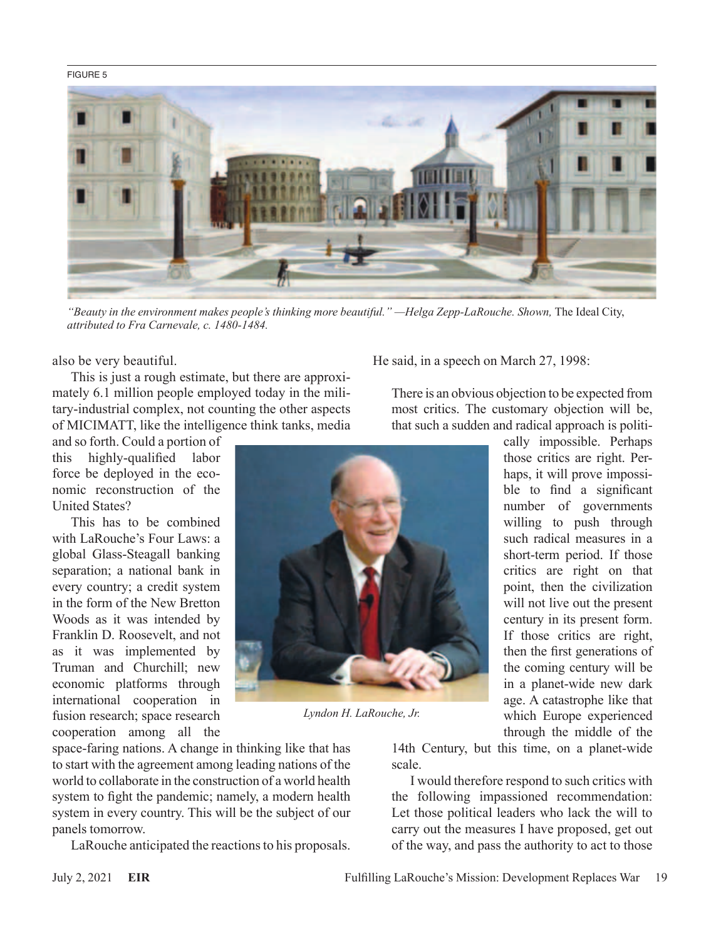#### FIGURE 5



*"Beauty in the environment makes people's thinking more beautiful." —Helga Zepp-LaRouche. Shown, The Ideal City, attributed to Fra Carnevale, c. 1480-1484.*

also be very beautiful.

This is just a rough estimate, but there are approximately 6.1 million people employed today in the military-industrial complex, not counting the other aspects of MICIMATT, like the intelligence think tanks, media

and so forth. Could a portion of this highly-qualified labor force be deployed in the economic reconstruction of the United States?

This has to be combined with LaRouche's Four Laws: a global Glass-Steagall banking separation; a national bank in every country; a credit system in the form of the New Bretton Woods as it was intended by Franklin D. Roosevelt, and not as it was implemented by Truman and Churchill; new economic platforms through international cooperation in fusion research; space research cooperation among all the

space-faring nations. A change in thinking like that has to start with the agreement among leading nations of the world to collaborate in the construction of a world health system to fight the pandemic; namely, a modern health system in every country. This will be the subject of our panels tomorrow.

LaRouche anticipated the reactions to his proposals.

He said, in a speech on March 27, 1998:

There is an obvious objection to be expected from most critics. The customary objection will be, that such a sudden and radical approach is politi-



*Lyndon H. LaRouche, Jr.*

cally impossible. Perhaps those critics are right. Perhaps, it will prove impossible to find a significant number of governments willing to push through such radical measures in a short-term period. If those critics are right on that point, then the civilization will not live out the present century in its present form. If those critics are right, then the first generations of the coming century will be in a planet-wide new dark age. A catastrophe like that which Europe experienced through the middle of the

14th Century, but this time, on a planet-wide scale.

I would therefore respond to such critics with the following impassioned recommendation: Let those political leaders who lack the will to carry out the measures I have proposed, get out of the way, and pass the authority to act to those